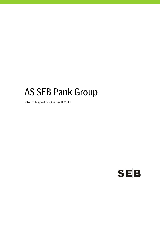# AS SEB Pank Group

Interim Report of Quarter II 2011

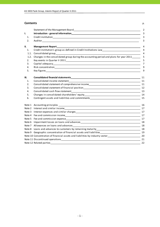## **Contents** p.

|      | Statement of the Management Board Statement of the Statement of the Management Board                                                                                                                                                      | 2  |
|------|-------------------------------------------------------------------------------------------------------------------------------------------------------------------------------------------------------------------------------------------|----|
| I.   |                                                                                                                                                                                                                                           | 3  |
| 1.   |                                                                                                                                                                                                                                           | 3  |
| 2.   | Auditor <b>Autor</b> Autor <b>Autor Autor Autor Autor Autor Autor Autor Autor Autor Autor Autor Autor Autor Autor Autor Autor Autor Autor Autor Autor Autor Autor Autor Autor Autor Autor Autor Autor Autor Autor Autor Autor Autor A</b> | 3  |
| II.  | <b>Management Report</b>                                                                                                                                                                                                                  | 4  |
| 1.   | Credit institution's group as defined in Credit Institutions Law___________________________________                                                                                                                                       | 4  |
| 1.1. |                                                                                                                                                                                                                                           | 4  |
| 1.2. | Changes in the consolidated group during the accounting period and plans for year 2011                                                                                                                                                    | 5  |
| 2.   |                                                                                                                                                                                                                                           | 5  |
| 3.   |                                                                                                                                                                                                                                           | 7  |
| 4.   |                                                                                                                                                                                                                                           | 9  |
| 5.   |                                                                                                                                                                                                                                           | 9  |
| Ш.   |                                                                                                                                                                                                                                           | 11 |
| 1.   |                                                                                                                                                                                                                                           |    |
| 2.   | Consolidated statement of comprehensive income 11 11 11                                                                                                                                                                                   |    |
| 3.   |                                                                                                                                                                                                                                           |    |
| 4.   |                                                                                                                                                                                                                                           | 13 |
| 5.   |                                                                                                                                                                                                                                           |    |
| 6.   |                                                                                                                                                                                                                                           |    |
|      |                                                                                                                                                                                                                                           | 16 |
|      |                                                                                                                                                                                                                                           | 17 |
|      |                                                                                                                                                                                                                                           | 17 |
|      |                                                                                                                                                                                                                                           | 17 |
|      |                                                                                                                                                                                                                                           |    |
|      |                                                                                                                                                                                                                                           |    |
|      |                                                                                                                                                                                                                                           |    |
|      |                                                                                                                                                                                                                                           |    |
|      |                                                                                                                                                                                                                                           |    |
|      | Note 10 Concentration of financial assets and liabilities by industry sector<br>20                                                                                                                                                        |    |
|      | Note 11 Discontinued operations 21 Note 2 and 2 and 2 and 2 and 2 and 2 and 2 and 2 and 2 and 2 and 2 and 2 and 2 and 2 and 2 and 2 and 2 and 2 and 2 and 2 and 2 and 2 and 2 and 2 and 2 and 2 and 2 and 2 and 2 and 2 and 2             |    |
|      |                                                                                                                                                                                                                                           | 22 |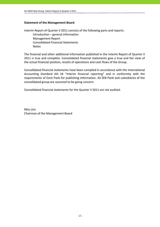## **Statement of the Management Board**

Interim Report of Quarter II 2011 consists of the following parts and reports: Introduction – general information Management Report Consolidated Financial Statements Notes

The financial and other additional information published in the Interim Report of Quarter II 2011 is true and complete. Consolidated financial statements give a true and fair view of the actual financial position, results of operations and cash flows of the Group.

Consolidated financial statements have been compiled in accordance with the International Accounting Standard IAS 34 "Interim financial reporting" and in conformity with the requirements of Eesti Pank for publishing information. AS SEB Pank and subsidiaries of the consolidated group are assumed to be going concern.

Consolidated financial statements for the Quarter II 2011 are not audited.

Riho Unt Chairman of the Management Board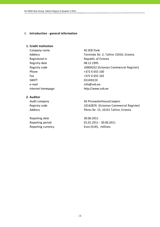## **I. Introduction ‐ general information**

## **1. Credit institution**

Company name AS SEB Pank Registered in Republic of Estonia Registry date 08.12.1995 Phone  $+3726655100$ Fax  $+372\ 6\ 655\ 102$ SWIFT EEUHEE2X e-mail info@seb.ee

Address Tornimäe Str. 2, Tallinn 15010, Estonia Registry code 10004252 (Estonian Commercial Register) Internet homepage http://www.seb.ee

## **2. Auditor**

Reporting date 30.06.2011

Audit company and all the AS PricewaterhouseCoopers Registry code 10142876 (Estonian Commercial Register) Address Pärnu Str. 15, 10141 Tallinn, Estonia

Reporting period 01.01.2011 ‐ 30.06.2011 Reporting currency Euro (EUR), millions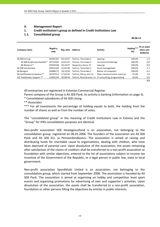## **II. Management Report**

## **1. Credit institution's group as defined in Credit Institutions Law**

## **1.1. Consolidated group**

 $\frac{30.06.11}{1}$ 

| Company name                 | <b>Registry</b><br>code | Reg. date | <b>Address</b>        | <b>Activity</b>                                     | Holding***<br>(%) | At an acqui-<br>sition cost<br>(EURmio) |
|------------------------------|-------------------------|-----------|-----------------------|-----------------------------------------------------|-------------------|-----------------------------------------|
| AS SEB Liising               | 10281767                | 03.10.97  | Tallinn, Tornimäe 2   | Leasing                                             | 100.0%            | 1.5                                     |
| AS SEB Kindlustusmaakler*    | 10723587                | 16.01.01  | Tallinn, Tornimäe 2   | Insurance brokerage                                 | 100.0%            | 0.0                                     |
| AS Rentacar*                 | 10303546                | 20.10.97  | Haapsalu, Karja 27    | Leasing                                             | 100.0%            | 0.0                                     |
| AS SEB Varahaldus            | 10035169                | 22.05.96  | Tallinn, Tornimäe 2   | Asset management                                    | 100.0%            | 2.7                                     |
| AS Bangalo                   | 10088272                | 18.10.96  | Tallinn. Tornimäe 2   | Rental of computers                                 | 100.0%            | 0.3                                     |
| AS Sertifits eerimiskeskus** | 10747013                | 27.03.01  | Tallinn, Pärnu mnt 12 | Data communication services                         | 25.0%             | 1.0                                     |
| OÜ TietoEnator Support **    | 11065244                | 30.08.04  |                       | Tallinn, Roosikrantsi 11 IT consulting, programming | 20.0%             | 0.0                                     |
|                              |                         |           |                       |                                                     |                   | 5.5                                     |

All enterprises are registered in Estonian Commercial Register.

Parent company of the Group is AS SEB Pank, its activity is banking (information on page 3).

\* Consolidated subsidiaries of AS SEB Liising

\*\* Associates

\*\*\* For all investments the percentage of holding equals to both, the holding from the number of shares as well as from the number of votes.

The "consolidated group" in the meaning of Credit Institutions Law in Estonia and the "Group" for IFRS consolidation purposes are identical.

Non‐profit association SEB Heategevusfond is an association, not belonging to the consolidation group, registered on 06.01.2006. The founders of the association are AS SEB Pank and AS SEB Elu‐ ja Pensionikindlustus. The association is aimed at raising and distributing funds for charitable cause to organisations, dealing with children, who have been deprived of parental care. Upon dissolution of the association, the assets remaining after satisfaction of the claims of creditors shall be transferred to a non‐profit association or foundation with similar objectives, entered to the list of associations subject to income tax incentive of the Government of the Republic, or a legal person in public law, state or local government.

Non‐profit association Spordiklubi United is an association, not belonging to the consolidation group, which started from September 2008. The association is founded by AS SEB Pank. The association is aimed at organising on hobby and competition level sport events and organising promotions for advertising of own and supporter´s activities. Upon dissolution of the association, the assets shall be transferred to a non‐profit association, foundation or other persons filling the objectives by articles in public interests.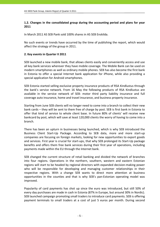## **1.2. Changes in the consolidated group during the accounting period and plans for year 2011**

In March 2011 AS SEB Pank sold 100% shares in AS SEB Enskilda.

No such events or trends have occurred by the time of publishing the report, which would affect the strategy of the group in 2011.

## **2. Key events in Quarter II 2011**

SEB launched a new mobile bank, that allows clients easily and conveniently access and use all key bank services wherever they have mobile coverage. The Mobile Bank can be used on modern smartphones as well as ordinary mobile phones. SEB has also become the first bank in Estonia to offer a special Internet bank application for iPhone, while also providing a special application for Android smartphones.

SEB Estonia started selling exclusive property insurance products of RSA Kindlustus through the bank's service network. From 16 May the following products of RSA Kindlustus are available in the service network of SEB: motor third party liability insurance and full coverage auto insurance, home and travel insurance, and business property insurance.

Starting from June SEB clients will no longer need to come into a branch to collect their new bank cards – they will be sent to them free of charge by post. SEB is first bank in Estonia to offer that kind of service to whole client base. In future 80% of clients' will receive new bankcard by post, which will save at least 120,000 clients the worry of having to come into a branch.

There has been an upturn in businesses being launched, which is why SEB introduced the Business Client Start‐Up Package. According to SEB data, more and more start‐up companies are focusing on foreign markets, looking for new opportunities to export goods and services. First year is crucial for start-ups, that why SEB prolonged its Start-Up package benefits and offers them free bank services during their first year of operations, including payments made within the EU through the Internet bank.

SEB changed the current structure of retail banking and divided the network of branches into four regions. Operations in the northern, southern, western and eastern Estonian regions will start to be headed by regional directors with expanded decision‐making power who will be responsible for developing and managing customer relationships in their respective regions. With a change SEB wants to direct more attention at business opportunities in the counties and that is why SEB's pan‐Estonian operating model was improved.

Popularity of card payments has shot up since the euro was introduced, but still 50% of every day purchases are made in cash in Estonia (87% in Europe, but around 30% in Nordic). SEB launched campaign promoting small traders to introduce card payments. SEB is offering payment terminals to small traders at a cost of just 5 euros per month. During second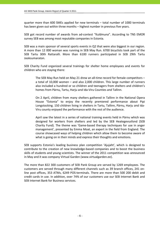quarter more than 600 SMEs applied for new terminals – total number of 1000 terminals has been given out within three months – highest number in previous five years.

SEB got record number of awards from ad‐contest "Kuldmuna". According to TNS EMOR survey SEB was among most reputable companies in Estonia.

SEB was a main sponsor of several sports events in Q2 that were also biggest in our region. A more than 12 000 woman was running in SEB May Run. 6700 bicyclists took part of the SEB Tartu 30th Rattaralli. More than 6100 runners participated in SEB 29th Tartu Jooksumaraton.

SEB Charity Fund organized several trainings for shelter home employees and events for children who are staying there:

The SEB May Run held on May 21 drew an all-time record for female competitors a total of 10,000 women – and also 2,000 children. This large number of runners also included a hundred or so children and teenagers from shelters and children's homes from Pärnu, Tartu, Harju and Ida‐Viru Counties and Tallinn.

On 2 April, children from many shelters gathered in Tallinn in the National Opera House "Estonia" to enjoy the recently premiered performance about Pipi Longstocking. 150 children living in shelters in Tartu, Tallinn, Pärnu, Harju and Ida‐ Viru county enjoyed the performance with the rest of the audience.

April saw the latest in a series of national training events held in Pärnu which was designed for workers from shelters and led by the SEB Heategevusfond (SEB Charity Fund). The theme was 'Game‐based therapy techniques for use in anger management', presented by Emma Moat, an expert in the field from England. The course showcased ways of helping children which allow them to become aware of what is going on in their minds and express their thoughts and emotions.

SEB supports Estonia's leading business plan competition 'Ajujaht', which is designed to contribute to the creation of new knowledge‐based companies and to boost the business skills of students and young scientists. The winner of the 2011 competition was announced in May and it was company Virtual Garden (www.virtualgarden.ee).

The more than 822 300 customers of SEB Pank Group are served by 1269 employees. The customers are served through many different channels such as 39 branch offices, 241 on‐ line post offices, 353 ATMs, 6249 POS-terminals. There are more than 500 200 debit and credit cards in use. In addition, over 74% of our customers use our SEB Internet Bank and SEB Internet Bank for Business services.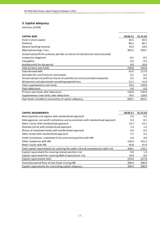## **3. Capital adequacy**

| <b>CAPITAL BASE</b>                                                             | 30.06.11 | 31.12.10 |
|---------------------------------------------------------------------------------|----------|----------|
| Paid-in share capital                                                           | 42.5     | 42.5     |
| Premium                                                                         | 86.1     | 86.1     |
| General banking reserves                                                        | 19.5     | 19.6     |
| Retained earnings / loss                                                        | 383.3    | 328.7    |
| Unrealised profit for previous periods on shares of subsidiaries and associated |          |          |
| companies (negative)                                                            | $-0.1$   | $-0.1$   |
| Intangibles                                                                     | $-0.5$   | $-0.5$   |
| Audited profit for the period                                                   | 0.0      | 54.6     |
| Total primary own funds                                                         | 530.8    | 530.9    |
| Subordinated debt                                                               | 67.0     | 117.0    |
| Available for sale financial instruments                                        | 0.1      | 0.2      |
| Unrealised part of profit on shares of subsidiaries and associated companies    | 0.1      | 0.0      |
| Allowances and adjustments exceeding expected loss                              | 11.1     | 11.6     |
| Total supplementary own funds                                                   | 78.3     | 128.8    |
| Total deductions                                                                | 0.0      | 0.0      |
| Primary own funds after deductions                                              | 530.8    | 530.9    |
| Supplementary own funds after deductions                                        | 78.3     | 128.8    |
| Own funds included in calculation of capital adequacy                           | 609.1    | 659.7    |

| <b>CAPITAL REQUIREMENTS</b>                                                          | 30.06.11 | 31.12.10 |
|--------------------------------------------------------------------------------------|----------|----------|
| Municipalities and regions with standardised approach                                | 5.4      | 5.4      |
| State agencies, non-profit institutions and associations with standardised approach  | 0.1      | 0.1      |
| Retail claims with standardised approach                                             | 13.7     | 14.1     |
| Overdue claims with standardised approach                                            | 1.3      | 1.3      |
| Shares of investment funds with standardised approach                                | 0.4      | 0.4      |
| Other assets with standardised approach                                              | 2.7      | 3.2      |
| Credit institutions, investment firms and municipalities with IRB                    | 4.4      | 4.9      |
| Other companies with IRB                                                             | 134.3    | 141.3    |
| Retail claims with IRB                                                               | 45.8     | 47.4     |
| Total capital requirements for covering the credit risk and counterparty credit risk | 208.1    | 218.1    |
| Capital requirement for covering interest position risk                              | 0.9      | 1.3      |
| Capital requirement for covering AMA of operational risk                             | 10.9     | 8.4      |
| Capital requirements total                                                           | 219.9    | 227.8    |
| Transition period floor of own funds if using IRB                                    | 300.4    | 300.0    |
| Capital requirements for calculating capital adequacy                                | 300.4    | 300.0    |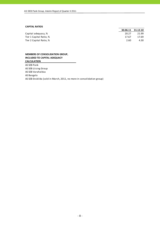#### **CAPITAL RATIOS**

|                         |       | 30.06.11 31.12.10 |
|-------------------------|-------|-------------------|
| Capital adequacy, %     | 20.27 | 21.99             |
| Tier 1 Capital Ratio, % | 17.67 | 17.69             |
| Tier 2 Capital Ratio. % | 2.60  | 4.30              |

#### **MEMBERS OF CONSOLIDATION GROUP, INCLUDED TO CAPITAL ADEQUACY CALCULATION**

AS SEB Pank AS SEB Liising Group AS SEB Varahaldus AS Bangalo AS SEB Enskilda (sold in March, 2011, no more in consolidation group)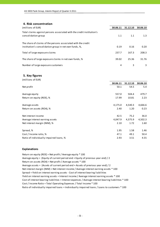## **4. Risk concentration**

| (millions of EUR)                                                                                                       | 30.06.11 | 31.12.10 | 30.06.10 |
|-------------------------------------------------------------------------------------------------------------------------|----------|----------|----------|
| Total claims against persons associated with the credit institution's<br>consolidation group                            | 1.1      | 1.1      | 1.3      |
| The share of claims of the persons associated with the credit<br>institution's consolidation group in net own funds, %, | 0.19     | 0.16     | 0.20     |
| Total of large exposure claims                                                                                          | 237.7    | 167.3    | 208.3    |
| The share of large exposure claims in net own funds, %                                                                  | 39.02    | 25.36    | 31.76    |
| Number of large exposure customers                                                                                      | 4        | 3        |          |

## **5. Key figures**

| (millions of EUR)                       |          |          |          |
|-----------------------------------------|----------|----------|----------|
|                                         | 30.06.11 | 31.12.10 | 30.06.10 |
| Net profit                              | 50.1     | 54.5     | 5.4      |
| Average equity                          | 557.0    | 504.4    | 479.7    |
| Return on equity (ROE), %               | 17.99    | 10.81    | 2.23     |
| Average assets                          | 4,175.0  | 4,540.3  | 4,666.6  |
| Return on assets (ROA), %               | 2.40     | 1.20     | 0.23     |
| Net interest income                     | 42.5     | 75.2     | 36.0     |
| Average interest earning assets         | 4,047.9  | 4,375.9  | 4,502.3  |
| Net interest margin (NIM), %            | 2.10     | 1.72     | 1.60     |
| Spread, %                               | 1.95     | 1.58     | 1.46     |
| Cost / Income ratio, %                  | 47.1     | 49.1     | 50.4     |
| Ratio of individually impaired loans, % | 2.93     | 3.51     | 4.55     |

#### **Explanations**

Return on equity (ROE) = Net profit / Average equity \* 100 Average equity = (Equity of current period end + Equity of previous year end) / 2 Return on assets (ROA) = Net profit / Average assets \* 100 Average assets = (Assets of current period end + Assets of previous year end) / 2 Cost of interest bearing liabilities = Interest expenses / Average interest bearing liabilities \* 100 Cost / Income Ratio = Total Operating Expenses / Total Income \* 100 Spread = Yield on interest earning assets ‐ Cost of interest bearing liabilities Ratio of individually impaired loans = Individually impaired loans / Loans to customers \* 100 Net interest margin (NIM) = Net interest income / Average interest earning assets \* 100 Yield on interest earning assets = Interest income / Average interest earning assets \* 100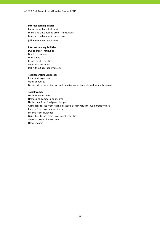#### **Interest earning assets:**

Balances with central bank Loans and advances to credit institutions (all without accrued interests) Loans and advances to customers

#### **Interest bearing liabilities:**

Due to credit institutions Due to customers Loan funds Issued debt securities Subordinated loans (all without accrued interests)

#### **Total Operating Expenses:**

Personnel expenses Other expenses Depreciation, amortisation and impairment of tangible and intangible assets

#### **Total Income:**

Net interest income Net fee and commission income Net income from foreign exchange Gains less losses from financial assets at fair value through profit or loss Income from insurance activities Income from dividends Gains less losses from investment securities Share of profit of associates Other income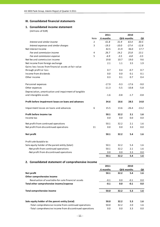## **III. Consolidated financial statements**

## **1. Consolidated income statement**

|                                                       |                | 2011     |         | 2010        |         |
|-------------------------------------------------------|----------------|----------|---------|-------------|---------|
|                                                       | Note           | 6 months |         | QII6 months | QII     |
| Interest and similar income                           | $\overline{2}$ | 61.8     | 31.9    | 63.4        | 30.5    |
| Interest expenses and similar charges                 | 3              | $-19.3$  | $-10.0$ | $-27.4$     | $-12.8$ |
| Net Interest Income                                   |                | 42.5     | 21.9    | 36.0        | 17.7    |
| Fee and commission income                             | 4              | 26.7     | 14.2    | 25.8        | 13.1    |
| Fee and commission expense                            | 5              | $-6.9$   | $-3.5$  | $-6.8$      | $-3.5$  |
| Net fee and commission income                         |                | 19.8     | 10.7    | 19.0        | 9.6     |
| Net income from foreign exchange                      |                | 2.1      | 1.1     | 3.5         | 1.9     |
| Gains less losses from financial assets at fair value |                |          |         |             |         |
| through profit or loss                                |                | 0.7      | 0.4     | $-0.7$      | 0.7     |
| Income from dividends                                 |                | 0.0      | 0.0     | 0.1         | 0.1     |
| Other income                                          |                | 0.3      | 0.1     | 0.7         | 0.4     |
| Personnel expenses                                    |                | $-17.9$  | $-9.3$  | $-17.6$     | $-9.0$  |
| Other expenses                                        |                | $-11.3$  | $-5.5$  | $-10.8$     | $-5.8$  |
| Depreciation, amortisation and impairment of tangible |                |          |         |             |         |
| and intangible assets                                 |                | $-1.6$   | $-0.8$  | $-1.7$      | $-0.8$  |
| Profit before impairment losses on loans and advances |                | 34.6     | 18.6    | 28.5        | 14.8    |
| Impairment losses on loans and advances               | 6              | 15.5     | 13.6    | $-26.4$     | $-13.2$ |
| Profit before income tax                              |                | 50.1     | 32.2    | 2.1         | 1.6     |
| Income tax                                            |                | 0.0      | 0.0     | 0.0         | 0.0     |
| Net profit from continued operations                  |                | 50.1     | 32.2    | 2.1         | 1.6     |
| Net profit from discontinued operations               | 11             | 0.0      | 0.0     | 3.3         | 0.0     |
| <b>Net profit</b>                                     |                | 50.1     | 32.2    | 5.4         | 1.6     |
| Profit attributable to:                               |                |          |         |             |         |
| Sole equity holder of the parent entity (total)       |                | 50.1     | 32.2    | 5.4         | 1.6     |
| -Net profit from continued operations                 |                | 50.1     | 32.2    | 2.1         | 1.6     |
| -Net profit from discontinued operations              |                | 0.0      | 0.0     | 3.3         | 0.0     |
|                                                       |                | 50.1     | 32.2    | 5.4         | 1.6     |
| 2. Consolidated statement of comprehensive income     |                |          |         |             |         |
|                                                       |                | 2011     |         | 2010        |         |
|                                                       |                | 6 months |         | QII6 months | QII     |
| Net profit                                            |                | 50.1     | 32.2    | 5.4         | 1.6     |

| Net profit                                               | 50.1   | 32.2 | 5.4    | 1.6     |
|----------------------------------------------------------|--------|------|--------|---------|
| Other comprehensive income                               |        |      |        |         |
| Revaluation of available-for-sale financial assets       | $-0.1$ | 0.0  | $-0.1$ | $0.0\,$ |
| Total other comprehensive income/expense                 | $-0.1$ | 0.0  | $-0.1$ | 0.0     |
| Total comprehensive income                               | 50.0   | 32.2 | 5.3    | 1.6     |
| Sole equity holder of the parent entity (total)          | 50.0   | 32.2 | 5.3    | 1.6     |
| -Total comprehensive income from continued operations    | 50.0   | 32.2 | 2.0    | 1.6     |
| -Total comprehensive income from discontinued operations | 0.0    | 0.0  | 3.3    | 0.0     |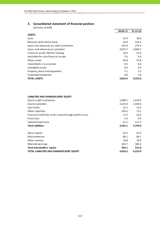## **3. Consolidated statement of financial position**

| (millions of EUR)                         |          |          |
|-------------------------------------------|----------|----------|
|                                           | 30.06.11 | 31.12.10 |
| <b>ASSETS</b>                             |          |          |
| Cash                                      | 42.4     | 38.9     |
| Balances with central bank                | 44.4     | 316.2    |
| Loans and advances to credit institutions | 247.0    | 279.5    |
| Loans and advances to customers           | 3,615.7  | 3,606.7  |
| Financial assets held for trading         | 16.5     | 21.9     |
| Available-for-sale financial assets       | 5.3      | 5.0      |
| Other assets                              | 44.8     | 47.8     |
| Investments in associates                 | 0.5      | 0.4      |
| Intangible assets                         | 0.5      | 0.5      |
| Property, plant and equipment             | 7.1      | 7.3      |
| Investment properties                     | 0.0      | 1.6      |
| <b>TOTAL ASSETS</b>                       | 4,024.2  | 4,325.8  |

## **LIABILITIES AND SHAREHOLDERS' EQUITY**

| Due to credit institutions                                 | 1,000.7 | 1,419.4 |
|------------------------------------------------------------|---------|---------|
| Due to customers                                           | 2,225.0 | 2,149.4 |
| Loan funds                                                 | 21.2    | 13.3    |
| Other liabilities                                          | 105.5   | 72.1    |
| Financial liabilities at fair value through profit or loss | 17.2    | 22.3    |
| Provisions                                                 | 5.4     | 0.3     |
| Subordinated loans                                         | 67.1    | 117.2   |
| <b>Total Liabilities</b>                                   | 3,442.1 | 3,794.0 |
| Share capital                                              | 42.5    | 42.5    |
| Share premium                                              | 86.1    | 86.1    |
| Other reserves                                             | 19.8    | 19.9    |
| Retained earnings                                          | 433.7   | 383.3   |
|                                                            |         |         |
| <b>Total shareholders' equity</b>                          | 582.1   | 531.8   |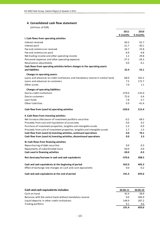## **4. Consolidated cash flow statement**

|                                                                                 | 2011     | 2010     |
|---------------------------------------------------------------------------------|----------|----------|
|                                                                                 | 6 months | 6 months |
| I. Cash flows from operating activities                                         |          |          |
| Interest received                                                               | 60.3     | 62.7     |
| Interest paid                                                                   | $-21.7$  | $-30.1$  |
| Fee and commission received                                                     | 26.7     | 25.8     |
| Fee and commission paid                                                         | $-6.9$   | $-6.8$   |
| Net trading income and other operating income                                   | 1.2      | 29.8     |
| Personnel expenses and other operating expenses                                 | $-27.2$  | $-26.3$  |
| Revaluation adjustments                                                         | 0.0      | $-0.1$   |
| Cash flows from operating activities before changes in the operating assets     |          |          |
| and liabilities                                                                 | 32.4     | 55.1     |
| <b>Changes in operating assets:</b>                                             |          |          |
| Loans and advances to credit institutions and mandatory reserve in central bank | $-68.0$  | 165.2    |
| Loans and advances to customers                                                 | 7.5      | 172.7    |
| Other assets                                                                    | 7.0      | 1.1      |
| <b>Changes of operating liabilities:</b>                                        |          |          |
| Due to credit institutions                                                      | $-379.0$ | $-135.0$ |
| Due to customers                                                                | 75.6     | 0.4      |
| Loan funds                                                                      | 7.8      | $-2.7$   |
| Other liabilities                                                               | $-3.9$   | $-41.4$  |
| Cash flow from (used in) operating activities                                   | $-320.6$ | 215.4    |
| II. Cash flows from investing activities                                        |          |          |
| Net increase-/decrease+ of investment portfolio securities                      | $-0.2$   | 68.5     |
| Proceeds from sale and liquidation of associates                                | 0.0      | 0.2      |
| Purchase of investment properties, tangible and intangible assets               | $-1.5$   | $-0.9$   |
| Proceeds from sale of investment properties, tangible and intangible assets     | 1.7      | 2.3      |
| Cash flow from (used in) investing activities, continued operations             | 0.0      | 70.1     |
| Cash flow from (used in) investing activities, discontinued operations          | 0.0      | 3.3      |
| III. Cash flows from financing activities                                       |          |          |
| Repurchasing of debt securities                                                 | 0.0      | $-0.3$   |
| Repayments of subordinated loans                                                | $-50.0$  | 0.0      |
| Cash used in financing activities                                               | $-50.0$  | $-0.3$   |
| Net decrease/increase in cash and cash equivalents                              | $-370.6$ | 288.5    |
| Cash and cash equivalents at the beginning of period                            | 562.0    | 405.3    |
| Effect of exchange rate changes on cash and cash equivalents                    | 0.0      | $-0.2$   |
| Cash and cash equivalents at the end of period                                  | 191.4    | 693.6    |

| Cash and cash equivalents includes:                      | 30.06.11 | 30.06.10 |
|----------------------------------------------------------|----------|----------|
| Cash on hand                                             | 42.4     | 38.9     |
| Balances with the central bank without mandatory reserve | 0.0      | 366.9    |
| Liquid deposits in other credit institutions             | 148.9    | 287.2    |
| Trading portfolio                                        | 0.1      | 0.6      |
|                                                          | 191.4    | 693.6    |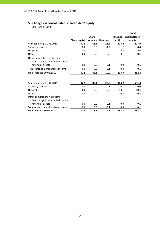## **5. Changes in consolidated shareholders' equity**

|                                                                 |               |              |                 |          | <b>Total</b>  |
|-----------------------------------------------------------------|---------------|--------------|-----------------|----------|---------------|
|                                                                 |               | <b>Share</b> |                 | Retained | shareholders' |
|                                                                 | Share capital | premium      | <b>Reserves</b> | profit   | equity        |
| Year beginning 01.01.2010                                       | 42.5          | 86.1         | 21.2            | 327.2    | 477.0         |
| Statutory reserve                                               | 0.0           | 0.0          | $-1.2$          | 1.2      | 0.0           |
| Net profit                                                      | 0.0           | 0.0          | 0.0             | 5.4      | 5.4           |
| Other                                                           | 0.0           | 0.0          | 0.0             | 0.1      | 0.1           |
| Other comprehensive income:<br>Net change in available-for-sale |               |              |                 |          |               |
| financial assets                                                | 0.0           | 0.0          | $-0.1$          | 0.0      | $-0.1$        |
| Total other comprehensive income                                | 0.0           | 0.0          | $-0.1$          | 0.0      | $-0.1$        |
| Final balance 30.06.2010                                        | 42.5          | 86.1         | 19.9            | 333.9    | 482.4         |
|                                                                 |               |              |                 |          |               |
| Year beginning 01.01.2011                                       | 42.5          | 86.1         | 20.0            | 383.2    | 531.8         |
| Statutory reserve                                               | 0.0           | 0.0          | $-0.1$          | 0.1      | 0.0           |
| Net profit                                                      | 0.0           | 0.0          | 0.0             | 50.1     | 50.1          |
| Other                                                           | 0.0           | 0.0          | 0.0             | 0.3      | 0.3           |
| Other comprehensive income:                                     |               |              |                 |          |               |
| Net change in available-for-sale                                |               |              |                 |          |               |
| financial assets                                                | 0.0           | 0.0          | $-0.1$          | 0.0      | $-0.1$        |
| Total other comprehensive expense                               | 0.0           | 0.0          | $-0.1$          | 0.0      | $-0.1$        |
| Final balance 30.06.2011                                        | 42.5          | 86.1         | 19.8            | 433.7    | 582.1         |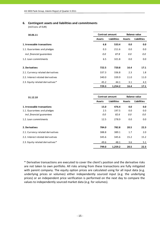## **6. Contingent assets and liabilities and commitments**

(millions of EUR)

| 30.06.11                          | <b>Contract amount</b>              |         | <b>Balance value</b> |                    |  |
|-----------------------------------|-------------------------------------|---------|----------------------|--------------------|--|
|                                   | <b>Liabilities</b><br><b>Assets</b> |         | <b>Assets</b>        | <b>Liabilities</b> |  |
| 1. Irrevocable transactions       | 6.8                                 | 533.4   | 0.0                  | 0.0                |  |
| 1.1. Guarantees and pledges       | 0.3                                 | 211.6   | 0.0                  | 0.0                |  |
| incl. financial guarantees        | 0.0                                 | 87.8    | 0.0                  | 0.0                |  |
| 1.2. Loan commitments             | 6.5                                 | 321.8   | 0.0                  | 0.0                |  |
| 2. Derivatives                    | 722.5                               | 720.8   | 16.4                 | 17.1               |  |
| 2.1. Currency related derivatives | 337.3                               | 336.8   | 2.3                  | 1.8                |  |
| 2.2. Interest related derivatives | 340.0                               | 339.9   | 11.0                 | 11.0               |  |
| 2.3. Equity related derivatives*  | 45.2                                | 44.1    | 3.1                  | 4.3                |  |
|                                   | 729.3                               | 1,254.2 | 16.4                 | 17.1               |  |

| 31.12.10                          | <b>Contract amount</b> |                    | <b>Balance value</b> |                    |  |
|-----------------------------------|------------------------|--------------------|----------------------|--------------------|--|
|                                   | <b>Assets</b>          | <b>Liabilities</b> | <b>Assets</b>        | <b>Liabilities</b> |  |
| 1. Irrevocable transactions       | 15.0                   | 476.4              | 0.0                  | 0.0                |  |
| 1.1. Guarantees and pledges       | 2.5                    | 197.5              | 0.0                  | 0.0                |  |
| incl. financial guarantees        | 0.0                    | 82.6               | 0.0                  | 0.0                |  |
| 1.2. Loan commitments             | 12.5                   | 278.9              | 0.0                  | 0.0                |  |
| 2. Derivatives                    | 784.0                  | 782.8              | 20.5                 | 22.3               |  |
| 2.1. Currency related derivatives | 388.8                  | 389.1              | 1.7                  | 2.0                |  |
| 2.2. Interest related derivatives | 345.6                  | 345.6              | 15.2                 | 15.2               |  |
| 2.3. Equity related derivatives*  | 49.6                   | 48.1               | 3.6                  | 5.1                |  |
|                                   | 799.0                  | 1,259.2            | 20.5                 | 22.3               |  |

\* Derivative transactions are executed to cover the client's position and the derivative risks are not taken to own portfolio. All risks arising from these transactions are fully mitigated with parent company. The equity option prices are calculated using for all input data (e.g. underlying prices or volumes) either independently sourced input (e.g. the underlying prices) or an independent price verification is performed on the next day to compare the values to independently sourced market data (e.g. for volumes).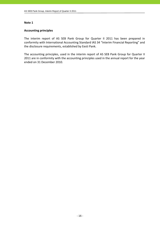## **Accounting principles**

The interim report of AS SEB Pank Group for Quarter II 2011 has been prepared in conformity with International Accounting Standard IAS 34 "Interim Financial Reporting" and the disclosure requirements, established by Eesti Pank.

The accounting principles, used in the interim report of AS SEB Pank Group for Quarter II 2011 are in conformity with the accounting principles used in the annual report for the year ended on 31 December 2010.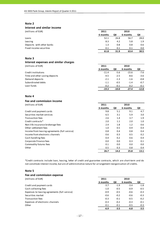#### **Interest and similar income**

| (millions of EUR) | 2011 | 2010 |
|-------------------|------|------|
|                   |      |      |

|                           | 6 months | QII  | 6 months | QII  |
|---------------------------|----------|------|----------|------|
| Loans                     | 52.1     | 26.8 | 56.7     | 28.0 |
| Leasing                   | 8.3      | 4.2  | 5.8      | 1.9  |
| Deposits with other banks | 1.3      | 0.8  | 0.8      | 0.6  |
| Fixed income securities   | 0.1      | 0.1  | 0.1      | 0.0  |
|                           | 61.8     | 31.9 | 63.4     | 30.5 |

## **Note 3**

#### **Interest expenses and similar charges**

(millions of EUR) **2011 2010**

|                                | 6 months | QII     | 6 months | QII     |
|--------------------------------|----------|---------|----------|---------|
| Credit institutions            | $-11.4$  | $-5.6$  | $-15.6$  | -7.6    |
| Time and other saving deposits | $-4.5$   | $-2.5$  | $-8.6$   | $-3.6$  |
| Demand deposits                | $-2.1$   | $-1.3$  | $-1.6$   | $-0.8$  |
| Subordinated debts             | $-1.1$   | $-0.5$  | $-1.4$   | $-0.7$  |
| Loan funds                     | $-0.2$   | $-0.1$  | $-0.2$   | $-0.1$  |
|                                | $-19.3$  | $-10.0$ | $-27.4$  | $-12.8$ |

## **Note 4**

## **Fee and commission income**

| (millions of EUR)                             | 2011     |      | 2010     |      |
|-----------------------------------------------|----------|------|----------|------|
|                                               | 6 months | QII  | 6 months | QII  |
| Credit and payment cards                      | 9.8      | 5.1  | 9.1      | 4.7  |
| Securities market services                    | 6.5      | 3.1  | 5.9      | 3.0  |
| Transaction fees                              | 2.6      | 1.4  | 3.7      | 1.9  |
| Credit contracts*                             | 2.0      | 1.1  | 2.0      | 1.0  |
| Non-life insurance brokerage fees             | 2.4      | 1.8  | 1.2      | 0.6  |
| Other settlement fees                         | 1.0      | 0.5  | 0.9      | 0.4  |
| Income from leasing agreements (full service) | 0.8      | 0.4  | 0.8      | 0.4  |
| Income from electronic channels               | 0.6      | 0.3  | 0.5      | 0.2  |
| Cash handling fees                            | 0.4      | 0.2  | 0.6      | 0.4  |
| Corporate Finance fees                        | 0.0      | 0.0  | 0.3      | 0.1  |
| Commodity futures fees                        | 0.1      | 0.0  | 0.0      | 0.0  |
| Other                                         | 0.5      | 0.3  | 0.8      | 0.4  |
|                                               | 26.7     | 14.2 | 25.8     | 13.1 |

\*Credit contracts include loan, leasing, letter of credit and guarantee contracts, which are short‐term and do not constitute interest income, but are of administrative nature for arrangement reorganisation of credits.

#### **Note 5**

| Fee and commission expense                    |          |        |          |        |
|-----------------------------------------------|----------|--------|----------|--------|
| (millions of EUR)                             | 2011     |        | 2010     |        |
|                                               | 6 months | QII    | 6 months | QII    |
| Credit and payment cards                      | $-3.7$   | $-1.9$ | $-3.4$   | $-1.8$ |
| Cash collecting fees                          | $-1.0$   | $-0.5$ | $-0.9$   | $-0.5$ |
| Expenses to leasing agreements (full service) | $-0.9$   | $-0.5$ | $-0.6$   | $-0.3$ |
| Securities market                             | $-0.6$   | $-0.2$ | $-0.6$   | $-0.3$ |
| Transaction fees                              | $-0.3$   | $-0.1$ | $-0.5$   | $-0.2$ |
| Expenses of electronic channels               | $-0.3$   | $-0.2$ | $-0.3$   | $-0.1$ |
| Other                                         | $-0.1$   | $-0.1$ | $-0.5$   | $-0.3$ |
|                                               | $-6.9$   | $-3.5$ | $-6.8$   | $-3.5$ |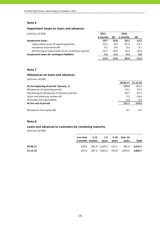## **Impairment losses on loans and advances**

| (millions of EUR)                                  | 2011     |        | 2010     |         |
|----------------------------------------------------|----------|--------|----------|---------|
|                                                    | 6 months | QII    | 6 months | QII     |
| <b>Impairment losses</b>                           | 20.7     | 18.8   | $-26.1$  | $-13.2$ |
| impairment losses of reporting period              | $-10.1$  | $-8.0$ | $-42.4$  | $-23.7$ |
| recoveries from write-offs                         | 0.1      | 0.0    | 0.1      | 0.1     |
| decreasing of impairment losses of previous period | 30.7     | 26.8   | 16.2     | 10.4    |
| Impairment losses for contingent liabilities       | $-5.2$   | $-5.2$ | $-0.3$   | 0.0     |
|                                                    | 15.5     | 13.6   | $-26.4$  | $-13.2$ |

## **Note 7**

## **Allowances on loans and advances**

(millions of EUR)

| 30.06.11 | 31.12.10 |
|----------|----------|
| 179.5    | 195.3    |
| 10.1     | 55.7     |
| $-30.7$  | $-47.1$  |
| $-7.2$   | $-24.6$  |
| 0.0      | 0.2      |
| 151.7    | 179.5    |
|          |          |
| 0.1      | 0.2      |
|          |          |

## **Note 8**

## **Loans and advances to customers by remaining maturity**

|          | Less than 3-12 1-5 5-10 Over 10 |       |       |                                           |       |
|----------|---------------------------------|-------|-------|-------------------------------------------|-------|
|          | 3 months months                 | vears | vears | years                                     | Total |
| 30.06.11 |                                 |       |       | 228.4 461.0 1,429.2 515.5 981.6 3,615.7   |       |
| 31.12.10 |                                 |       |       | 207.6 387.6 1,465.5 542.8 1,003.2 3,606.7 |       |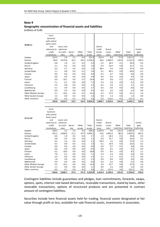#### **Geographic concentration of financial assets and liabilities**

(millions of EUR)

Other countries

|                      | Cash,<br>balances |            |            |            |             |             |             |             |              |             |
|----------------------|-------------------|------------|------------|------------|-------------|-------------|-------------|-------------|--------------|-------------|
|                      | with central      |            |            |            |             |             |             |             |              |             |
|                      | bank, loans       |            |            |            |             |             |             |             |              |             |
| 30.06.11             | and               | Loans and  |            |            |             | Due to      |             |             |              |             |
|                      | advances to       | advances   |            |            |             | credit      | Due to      |             |              | Contin-     |
|                      | credit            | to custo-  | Securi-    | Other      | Total       | institu-    | custo-      | Other       | Total        | gent        |
|                      | institutions      | mers       | ties       | assets     | assets      | tions       | mers        | liabilities | liabilities  | liabilities |
| Sweden               | 223.5             | 2.0        | 5.1        | 0.4        | 231.0       | 925.4       | 8.0         | 77.9        | 1,011.3      | 1.3         |
| Estonia              | 86.9              | 3,579.8    | 16.2       | 45.5       | 3,728.4     | 26.6        | 1,966.9     | 129.4       | 2,122.9      | 520.4       |
| United Kingdom       | 0.8               | 1.9        | 0.1        | 0.1        | 2.9         | 2.5         | 18.3        | 0.1         | 20.9         | 0.3         |
| Russia               | 2.1               | 0.5        | 0.0        | 0.0        | 2.6         | 0.3         | 16.4        | 0.0         | 16.7         | 0.1         |
| Germany              | 0.3               | 0.7        | 0.0        | 0.0        | 1.0         | 38.3        | 3.6         | 0.0         | 41.9         | 6.9         |
| <b>United States</b> | 2.1               |            | 0.4        |            |             | 0.1         | 49.5        |             | 49.6         | 0.1         |
| Canada               | 0.0               | 0.8<br>0.0 | 0.0        | 0.1<br>0.0 | 3.4<br>0.0  | 0.1         | 0.7         | 0.0<br>0.0  | 0.8          | 0.0         |
|                      |                   |            |            |            |             |             |             |             |              |             |
| Japan                | 0.0               | 0.0        | 0.0        | 0.0        | 0.0         | 0.0         | 0.4         | 0.0         | 0.4          | 0.0         |
| Finland              | 0.0               | 18.7       | 0.0        | 0.7        | 19.4        | 0.0         | 9.8         | 0.7         | 10.5         | 2.6         |
| Latvia               | 7.1               | 0.1        | 0.0        | 0.0        | 7.2         | 3.4         | 2.8         | 0.0         | 6.2          | 0.0         |
| Lithuania            | 2.5               | 0.0        | 0.0        | 0.0        | 2.5         | 0.2         | 2.8         | 0.1         | 3.1          | 0.0         |
| Luxembourg           | 5.1               | 0.0        | 0.0        | 0.6        | 5.7         | 0.6         | 0.0         | 0.0         | 0.6          | 0.0         |
| Netherlands          | 0.0               | 0.5        | 0.0        | 0.0        | 0.5         | 0.0         | 2.6         | 0.0         | 2.6          | 0.0         |
| Other Western Europe | 2.1               | 10.2       | 0.0        | 0.1        | 12.4        | 3.2         | 27.9        | 0.0         | 31.1         | 1.6         |
| Other Eastern Europe | 1.3               | 0.0        | 0.3        | 0.0        | 1.6         | 0.0         | 1.3         | 0.0         | 1.3          | 0.0         |
|                      |                   |            |            |            |             |             |             |             |              |             |
| Other countries      | 0.0               | 0.5        | 0.2        | 4.9        | 5.6         | 0.0         | 114.0       | 8.2         | 122.2        | 0.1         |
|                      | 333.8             | 3,615.7    | 22.3       | 52.4       | 4,024.2     | 1,000.7     | 2,225.0     | 216.4       | 3,442.1      | 533.4       |
|                      |                   |            |            |            |             |             |             |             |              |             |
|                      | Cash,             |            |            |            |             |             |             |             |              |             |
|                      | balances          |            |            |            |             |             |             |             |              |             |
|                      | with central      |            |            |            |             |             |             |             |              |             |
|                      | bank, loans       |            |            |            |             |             |             |             |              |             |
| 31.12.10             | and               | Loans and  |            |            |             | Due to      |             |             |              |             |
|                      |                   |            |            |            |             |             |             |             |              | Contin-     |
|                      | advances to       | advances   |            |            |             | credit      | Due to      |             |              |             |
|                      | credit            | to custo-  | Securi-    | Other      | Total       | institu-    | custo-      | Other       | Total        | gent        |
|                      | institutions      | mers       | ties       | assets     | assets      | tions       | mers        | liabilities | liabilities  | liabilities |
| Sweden               | 258.5             | 2.2        | 5.6        | 0.3        | 266.6       | 1,324.0     | 9.6         | 132.2       | 1,465.8      | 1.2         |
| Estonia              | 355.2             | 3,568.9    | 21.2       | 47.9       | 3,993.2     | 14.6        | 1,891.0     | 88.3        | 1,993.9      | 465.5       |
| United Kingdom       | 0.6               | 1.9        | 0.2        | 0.0        | 2.7         | 1.4         | 28.3        | 0.1         | 29.8         | 0.3         |
| Russia<br>Germany    | 0.8<br>0.3        | 0.5<br>2.2 | 0.0<br>0.0 | 0.0<br>0.0 | 1.3<br>2.5  | 0.9<br>69.9 | 15.7<br>3.5 | 0.0<br>0.0  | 16.6<br>73.4 | 0.1<br>5.5  |
| <b>United States</b> | 0.5               | 0.9        | 0.3        | 0.2        | 1.9         | 0.1         | 24.9        | 0.0         | 25.0         | 0.1         |
| Canada               | 0.0               | 0.0        | 0.0        | 0.0        | 0.0         | 0.0         | 0.7         | 0.1         | 0.8          | 0.0         |
|                      | 0.0               | 0.0        | 0.0        |            |             | 0.0         | 0.2         |             | 0.2          |             |
| Japan<br>Finland     | 0.2               | 18.6       | 0.0        | 0.0<br>0.0 | 0.0<br>18.8 | 0.0         | 8.5         | 0.0<br>0.0  | 8.5          | 0.0<br>2.1  |
| Latvia               | 7.0               | 0.1        | 0.0        | 0.0        | 7.1         | 2.4         | 2.4         | 0.0         | 4.8          | 0.0         |
| Lithuania            | 3.3               | 0.0        | 0.0        | 0.0        | 3.3         | 2.1         | 1.7         | $-0.1$      | 3.7          | 0.0         |
| Luxembourg           | 1.8               | 0.0        | 0.0        | 0.5        | 2.3         | 0.0         | 0.0         | 0.0         | 0.0          | 0.0         |

Contingent liabilities include guarantees and pledges, loan commitments, forwards, swaps, options, spots, interest rate based derivatives, revocable transactions, stand‐by loans, other revocable transactions, options of structured products and are presented in contract amount of contingent liabilities.

Other Western Europe 5.3 10.1 0.0 0.0 15.4 3.9 23.7 0.0 27.6 1.6 0.0 0.1 1.6 0.0 0.0 0.0 0.0 0.0 0.0 0.0 0.0 0.0 Other Eastern Europe 1.1 0.0 0.0 0.0 1.1 0.0 1.6 0.0 1.6 0.0<br>Other countries 0.0 0.7 0.0 8.3 9.0 0.1 137.4 4.6 142.1 0.0

**634.6 3,606.7 27.3 57.2 4,325.8 1,419.4 2,149.4 225.2 3,794.0 476.4**

Securities include here financial assets held for trading, financial assets designated at fair value through profit or loss, available-for-sale financial assets, investments in associates.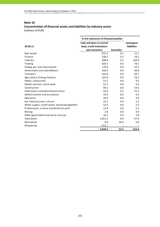## **Concentration of financial assets and liabilities by industry sector** (millions of EUR)

|                                              | In the statement of financial position |                   |                    |  |
|----------------------------------------------|----------------------------------------|-------------------|--------------------|--|
|                                              | Cash and loans to central              |                   | Contingent         |  |
| 30.06.11                                     | bank, credit institutions              |                   | <b>liabilities</b> |  |
|                                              | and customers                          | <b>Securities</b> |                    |  |
| Real estate                                  | 632.3                                  | 0.1               | 11.1               |  |
| Finance                                      | 338.1                                  | 4.2               | 16.2               |  |
| Industry                                     | 288.8                                  | 0.2               | 120.4              |  |
| Trading                                      | 185.4                                  | 0.0               | 78.1               |  |
| Energy, gas and steam plants                 | 179.0                                  | 0.0               | 33.1               |  |
| Government and state defence                 | 106.5                                  | 0.0               | 30.8               |  |
| Transport                                    | 103.6                                  | 0.0               | 50.7               |  |
| Agriculture, fishing, forestry               | 101.0                                  | 0.0               | 16.5               |  |
| Hotels, restaurants                          | 51.5                                   | 0.0               | 0.5                |  |
| Health services, social work                 | 51.5                                   | 0.0               | 6.4                |  |
| Construction                                 | 46.2                                   | 0.0               | 54.5               |  |
| Information and telecommunication            | 42.9                                   | 0.5               | 21.5               |  |
| Administration and assistance                | 35.9                                   | 0.0               | 6.2                |  |
| Education                                    | 26.9                                   | 0.0               | 5.8                |  |
| Art, show business, leisure                  | 23.1                                   | 0.0               | 2.2                |  |
| Water supply, canalisation, waste management | 13.5                                   | 0.0               | 2.3                |  |
| Professional, science and technical work     | 12.8                                   | 0.0               | 5.2                |  |
| Mining                                       | 2.8                                    | 0.0               | 0.4                |  |
| Other government and social services         | 18.2                                   | 0.9               | 3.9                |  |
| Individuals                                  | 1,841.2                                | 0.0               | 67.6               |  |
| Derivatives                                  | 0.0                                    | 16.4              | 0.0                |  |
| Allowances                                   | $-151.7$                               |                   |                    |  |
|                                              | 3,949.5                                | 22.3              | 533.4              |  |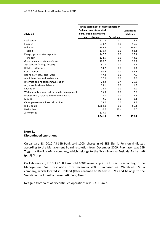|                                              | In the statement of financial position |                   |                    |
|----------------------------------------------|----------------------------------------|-------------------|--------------------|
|                                              | Cash and loans to central              |                   | Contingent         |
| 31.12.10                                     | bank, credit institutions              |                   | <b>liabilities</b> |
|                                              | and customers                          | <b>Securities</b> |                    |
| Real estate                                  | 671.8                                  | 0.1               | 6.7                |
| Finance                                      | 639.7                                  | 4.0               | 16.6               |
| Industry                                     | 284.4                                  | 1.4               | 109.0              |
| Trading                                      | 170.9                                  | 0.0               | 68.2               |
| Energy, gas and steam plants                 | 147.7                                  | 0.0               | 27.3               |
| Transport                                    | 112.5                                  | 0.0               | 43.1               |
| Government and state defence                 | 106.7                                  | 0.0               | 20.3               |
| Agriculture, fishing, forestry               | 91.0                                   | 0.0               | 7.3                |
| Hotels, restaurants                          | 54.2                                   | 0.0               | 0.3                |
| Construction                                 | 50.6                                   | 0.0               | 54.4               |
| Health services, social work                 | 47.8                                   | 0.0               | 7.6                |
| Administration and assistance                | 37.0                                   | 0.0               | 6.0                |
| Information and telecommunication            | 28.3                                   | 0.4               | 25.0               |
| Art, show business, leisure                  | 28.1                                   | 0.0               | 1.7                |
| Education                                    | 26.5                                   | 0.0               | 5.0                |
| Water supply, canalisation, waste management | 15.9                                   | 0.0               | 2.0                |
| Professional, science and technical work     | 13.1                                   | 0.0               | 5.6                |
| Mining                                       | 2.6                                    | 0.0               | 0.3                |
| Other government & social services           | 23.0                                   | 1.0               | 3.7                |
| Individuals                                  | 1,869.0                                | 0.0               | 66.3               |
| Derivatives                                  | 0.0                                    | 20.4              | 0.0                |
| Allowances                                   | $-179.5$                               |                   |                    |
|                                              | 4,241.3                                | 27.3              | 476.4              |

## **Note 11 Discontinued operations**

On January 28, 2010 AS SEB Pank sold 100% shares in AS SEB Elu‐ ja Pensionikindlustus according to the Management Board resolution from December 2009. Purchaser was SEB Trygg Liv Holding AB, a company, which belongs to the Skandinaviska Enskilda Banken AB (publ) Group.

On February 26, 2010 AS SEB Pank sold 100% ownership in OÜ Estectus according to the Management Board resolution from December 2009. Purchaser was Warehold B.V., a company, which located in Holland (later renamed to Baltectus B.V.) and belongs to the Skandinaviska Enskilda Banken AB (publ) Group.

Net gain from sales of discontinued operations was 3.3 EURmio.